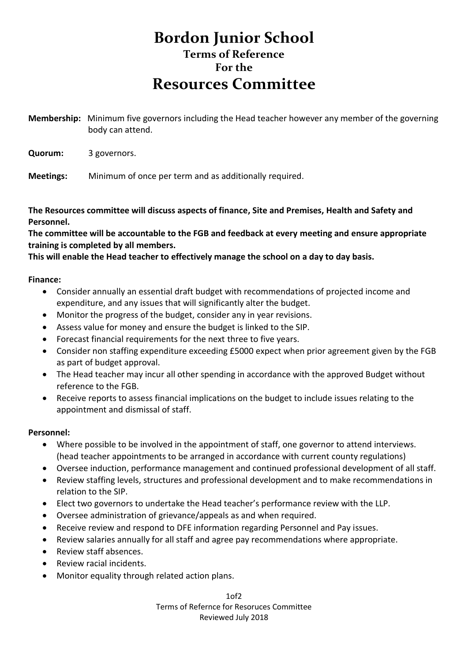## **Bordon Junior School Terms of Reference For the Resources Committee**

**Membership:** Minimum five governors including the Head teacher however any member of the governing body can attend.

**Quorum:** 3 governors.

**Meetings:** Minimum of once per term and as additionally required.

**The Resources committee will discuss aspects of finance, Site and Premises, Health and Safety and Personnel.**

**The committee will be accountable to the FGB and feedback at every meeting and ensure appropriate training is completed by all members.**

**This will enable the Head teacher to effectively manage the school on a day to day basis.**

**Finance:** 

- Consider annually an essential draft budget with recommendations of projected income and expenditure, and any issues that will significantly alter the budget.
- Monitor the progress of the budget, consider any in year revisions.
- Assess value for money and ensure the budget is linked to the SIP.
- Forecast financial requirements for the next three to five years.
- Consider non staffing expenditure exceeding £5000 expect when prior agreement given by the FGB as part of budget approval.
- The Head teacher may incur all other spending in accordance with the approved Budget without reference to the FGB.
- Receive reports to assess financial implications on the budget to include issues relating to the appointment and dismissal of staff.

## **Personnel:**

- Where possible to be involved in the appointment of staff, one governor to attend interviews. (head teacher appointments to be arranged in accordance with current county regulations)
- Oversee induction, performance management and continued professional development of all staff.
- Review staffing levels, structures and professional development and to make recommendations in relation to the SIP.
- Elect two governors to undertake the Head teacher's performance review with the LLP.
- Oversee administration of grievance/appeals as and when required.
- Receive review and respond to DFE information regarding Personnel and Pay issues.
- Review salaries annually for all staff and agree pay recommendations where appropriate.
- Review staff absences.
- Review racial incidents.
- Monitor equality through related action plans.

 $1<sub>0</sub>f<sub>2</sub>$ Terms of Refernce for Resoruces Committee Reviewed July 2018